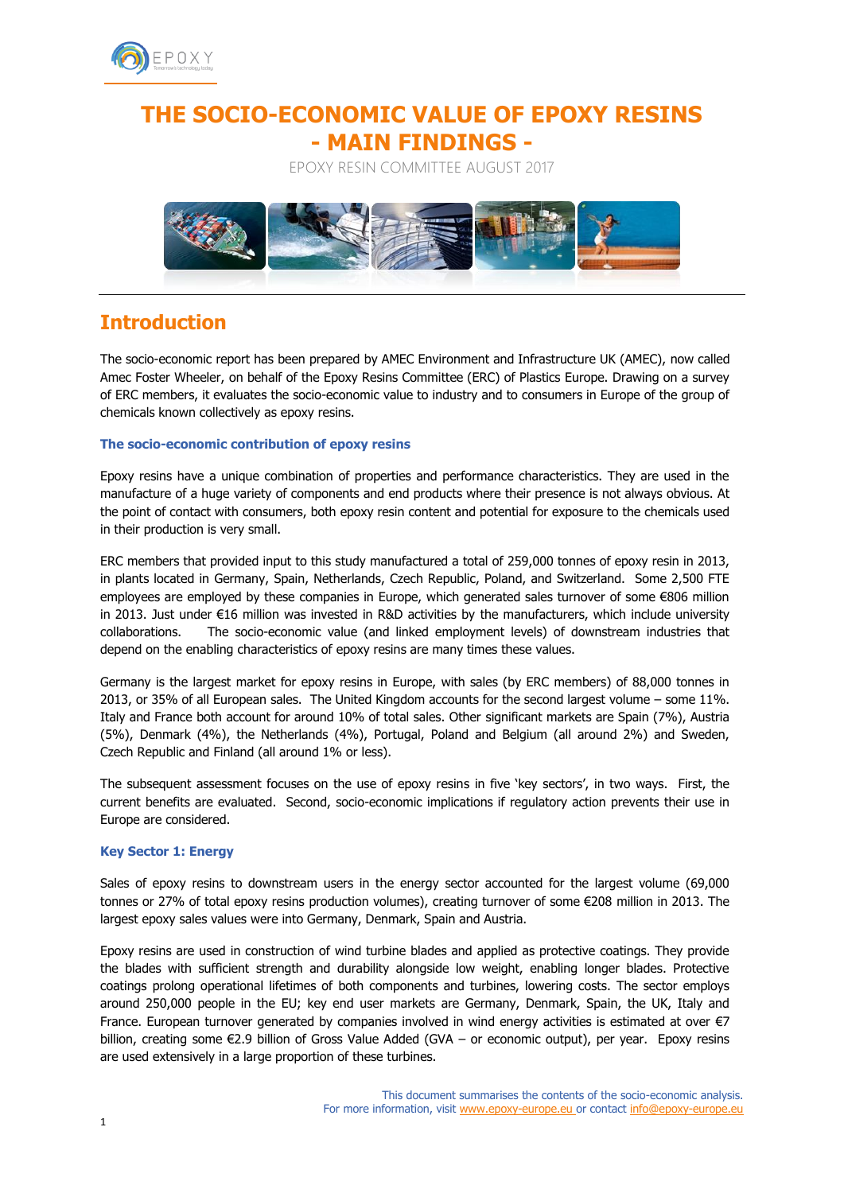

# **THE SOCIO-ECONOMIC VALUE OF EPOXY RESINS - MAIN FINDINGS -**

EPOXY RESIN COMMITTEE AUGUST 2017



# **Introduction**

The socio-economic report has been prepared by AMEC Environment and Infrastructure UK (AMEC), now called Amec Foster Wheeler, on behalf of the Epoxy Resins Committee (ERC) of Plastics Europe. Drawing on a survey of ERC members, it evaluates the socio-economic value to industry and to consumers in Europe of the group of chemicals known collectively as epoxy resins.

# **The socio-economic contribution of epoxy resins**

Epoxy resins have a unique combination of properties and performance characteristics. They are used in the manufacture of a huge variety of components and end products where their presence is not always obvious. At the point of contact with consumers, both epoxy resin content and potential for exposure to the chemicals used in their production is very small.

ERC members that provided input to this study manufactured a total of 259,000 tonnes of epoxy resin in 2013, in plants located in Germany, Spain, Netherlands, Czech Republic, Poland, and Switzerland. Some 2,500 FTE employees are employed by these companies in Europe, which generated sales turnover of some €806 million in 2013. Just under €16 million was invested in R&D activities by the manufacturers, which include university collaborations. The socio-economic value (and linked employment levels) of downstream industries that depend on the enabling characteristics of epoxy resins are many times these values.

Germany is the largest market for epoxy resins in Europe, with sales (by ERC members) of 88,000 tonnes in 2013, or 35% of all European sales. The United Kingdom accounts for the second largest volume – some 11%. Italy and France both account for around 10% of total sales. Other significant markets are Spain (7%), Austria (5%), Denmark (4%), the Netherlands (4%), Portugal, Poland and Belgium (all around 2%) and Sweden, Czech Republic and Finland (all around 1% or less).

The subsequent assessment focuses on the use of epoxy resins in five 'key sectors', in two ways. First, the current benefits are evaluated. Second, socio-economic implications if regulatory action prevents their use in Europe are considered.

# **Key Sector 1: Energy**

Sales of epoxy resins to downstream users in the energy sector accounted for the largest volume (69,000 tonnes or 27% of total epoxy resins production volumes), creating turnover of some €208 million in 2013. The largest epoxy sales values were into Germany, Denmark, Spain and Austria.

Epoxy resins are used in construction of wind turbine blades and applied as protective coatings. They provide the blades with sufficient strength and durability alongside low weight, enabling longer blades. Protective coatings prolong operational lifetimes of both components and turbines, lowering costs. The sector employs around 250,000 people in the EU; key end user markets are Germany, Denmark, Spain, the UK, Italy and France. European turnover generated by companies involved in wind energy activities is estimated at over €7 billion, creating some €2.9 billion of Gross Value Added (GVA – or economic output), per year. Epoxy resins are used extensively in a large proportion of these turbines.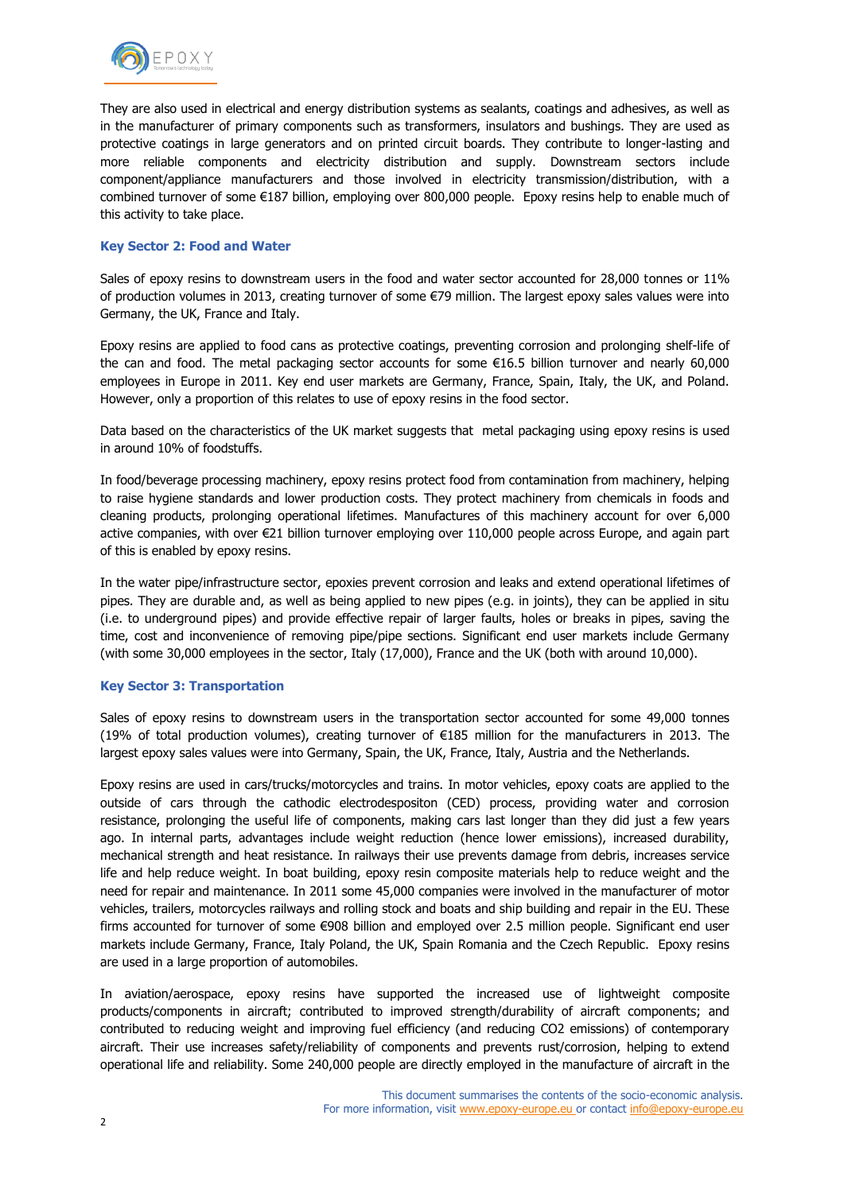

They are also used in electrical and energy distribution systems as sealants, coatings and adhesives, as well as in the manufacturer of primary components such as transformers, insulators and bushings. They are used as protective coatings in large generators and on printed circuit boards. They contribute to longer-lasting and more reliable components and electricity distribution and supply. Downstream sectors include component/appliance manufacturers and those involved in electricity transmission/distribution, with a combined turnover of some €187 billion, employing over 800,000 people. Epoxy resins help to enable much of this activity to take place.

## **Key Sector 2: Food and Water**

Sales of epoxy resins to downstream users in the food and water sector accounted for 28,000 tonnes or 11% of production volumes in 2013, creating turnover of some €79 million. The largest epoxy sales values were into Germany, the UK, France and Italy.

Epoxy resins are applied to food cans as protective coatings, preventing corrosion and prolonging shelf-life of the can and food. The metal packaging sector accounts for some €16.5 billion turnover and nearly 60,000 employees in Europe in 2011. Key end user markets are Germany, France, Spain, Italy, the UK, and Poland. However, only a proportion of this relates to use of epoxy resins in the food sector.

Data based on the characteristics of the UK market suggests that metal packaging using epoxy resins is used in around 10% of foodstuffs.

In food/beverage processing machinery, epoxy resins protect food from contamination from machinery, helping to raise hygiene standards and lower production costs. They protect machinery from chemicals in foods and cleaning products, prolonging operational lifetimes. Manufactures of this machinery account for over 6,000 active companies, with over €21 billion turnover employing over 110,000 people across Europe, and again part of this is enabled by epoxy resins.

In the water pipe/infrastructure sector, epoxies prevent corrosion and leaks and extend operational lifetimes of pipes. They are durable and, as well as being applied to new pipes (e.g. in joints), they can be applied in situ (i.e. to underground pipes) and provide effective repair of larger faults, holes or breaks in pipes, saving the time, cost and inconvenience of removing pipe/pipe sections. Significant end user markets include Germany (with some 30,000 employees in the sector, Italy (17,000), France and the UK (both with around 10,000).

### **Key Sector 3: Transportation**

Sales of epoxy resins to downstream users in the transportation sector accounted for some 49,000 tonnes (19% of total production volumes), creating turnover of €185 million for the manufacturers in 2013. The largest epoxy sales values were into Germany, Spain, the UK, France, Italy, Austria and the Netherlands.

Epoxy resins are used in cars/trucks/motorcycles and trains. In motor vehicles, epoxy coats are applied to the outside of cars through the cathodic electrodespositon (CED) process, providing water and corrosion resistance, prolonging the useful life of components, making cars last longer than they did just a few years ago. In internal parts, advantages include weight reduction (hence lower emissions), increased durability, mechanical strength and heat resistance. In railways their use prevents damage from debris, increases service life and help reduce weight. In boat building, epoxy resin composite materials help to reduce weight and the need for repair and maintenance. In 2011 some 45,000 companies were involved in the manufacturer of motor vehicles, trailers, motorcycles railways and rolling stock and boats and ship building and repair in the EU. These firms accounted for turnover of some €908 billion and employed over 2.5 million people. Significant end user markets include Germany, France, Italy Poland, the UK, Spain Romania and the Czech Republic. Epoxy resins are used in a large proportion of automobiles.

In aviation/aerospace, epoxy resins have supported the increased use of lightweight composite products/components in aircraft; contributed to improved strength/durability of aircraft components; and contributed to reducing weight and improving fuel efficiency (and reducing CO2 emissions) of contemporary aircraft. Their use increases safety/reliability of components and prevents rust/corrosion, helping to extend operational life and reliability. Some 240,000 people are directly employed in the manufacture of aircraft in the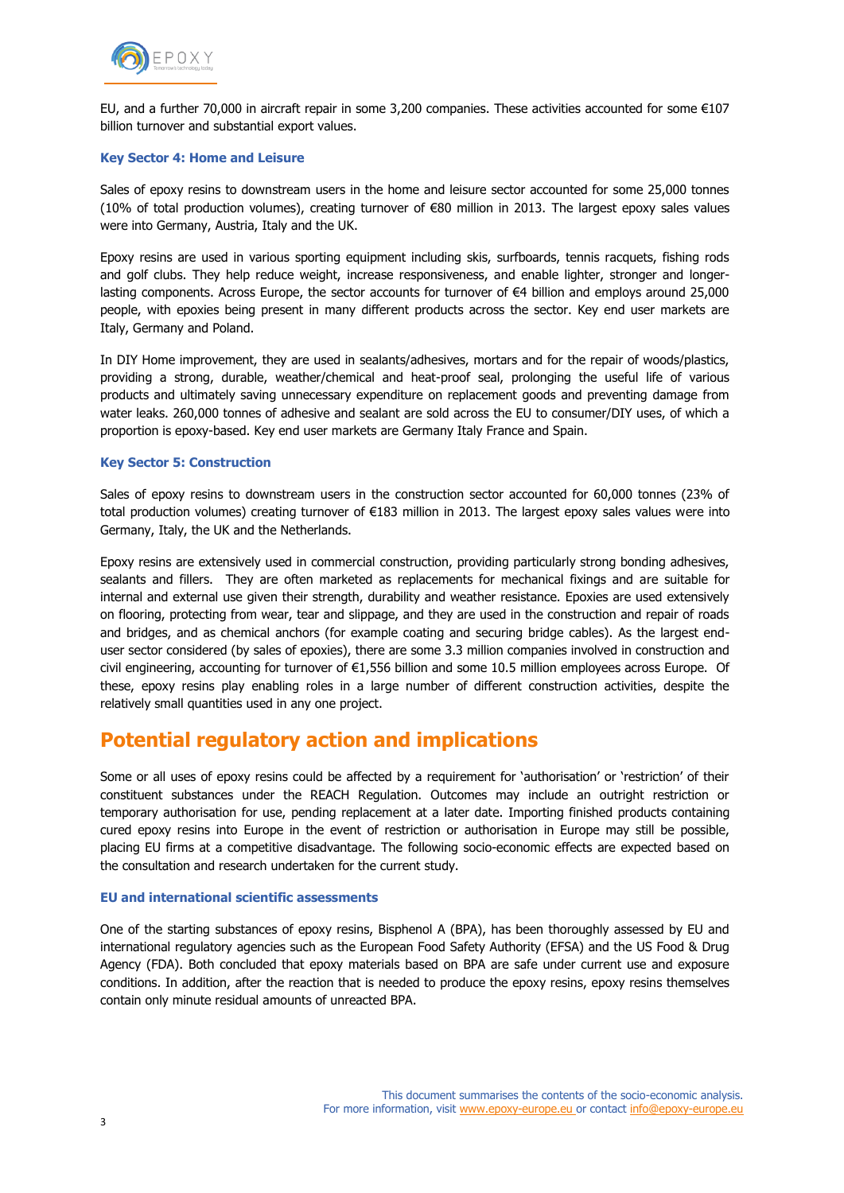

EU, and a further 70,000 in aircraft repair in some 3,200 companies. These activities accounted for some €107 billion turnover and substantial export values.

#### **Key Sector 4: Home and Leisure**

Sales of epoxy resins to downstream users in the home and leisure sector accounted for some 25,000 tonnes (10% of total production volumes), creating turnover of €80 million in 2013. The largest epoxy sales values were into Germany, Austria, Italy and the UK.

Epoxy resins are used in various sporting equipment including skis, surfboards, tennis racquets, fishing rods and golf clubs. They help reduce weight, increase responsiveness, and enable lighter, stronger and longerlasting components. Across Europe, the sector accounts for turnover of €4 billion and employs around 25,000 people, with epoxies being present in many different products across the sector. Key end user markets are Italy, Germany and Poland.

In DIY Home improvement, they are used in sealants/adhesives, mortars and for the repair of woods/plastics, providing a strong, durable, weather/chemical and heat-proof seal, prolonging the useful life of various products and ultimately saving unnecessary expenditure on replacement goods and preventing damage from water leaks. 260,000 tonnes of adhesive and sealant are sold across the EU to consumer/DIY uses, of which a proportion is epoxy-based. Key end user markets are Germany Italy France and Spain.

### **Key Sector 5: Construction**

Sales of epoxy resins to downstream users in the construction sector accounted for 60,000 tonnes (23% of total production volumes) creating turnover of €183 million in 2013. The largest epoxy sales values were into Germany, Italy, the UK and the Netherlands.

Epoxy resins are extensively used in commercial construction, providing particularly strong bonding adhesives, sealants and fillers. They are often marketed as replacements for mechanical fixings and are suitable for internal and external use given their strength, durability and weather resistance. Epoxies are used extensively on flooring, protecting from wear, tear and slippage, and they are used in the construction and repair of roads and bridges, and as chemical anchors (for example coating and securing bridge cables). As the largest enduser sector considered (by sales of epoxies), there are some 3.3 million companies involved in construction and civil engineering, accounting for turnover of €1,556 billion and some 10.5 million employees across Europe. Of these, epoxy resins play enabling roles in a large number of different construction activities, despite the relatively small quantities used in any one project.

# **Potential regulatory action and implications**

Some or all uses of epoxy resins could be affected by a requirement for 'authorisation' or 'restriction' of their constituent substances under the REACH Regulation. Outcomes may include an outright restriction or temporary authorisation for use, pending replacement at a later date. Importing finished products containing cured epoxy resins into Europe in the event of restriction or authorisation in Europe may still be possible, placing EU firms at a competitive disadvantage. The following socio-economic effects are expected based on the consultation and research undertaken for the current study.

# **EU and international scientific assessments**

One of the starting substances of epoxy resins, Bisphenol A (BPA), has been thoroughly assessed by EU and international regulatory agencies such as the European Food Safety Authority (EFSA) and the US Food & Drug Agency (FDA). Both concluded that epoxy materials based on BPA are safe under current use and exposure conditions. In addition, after the reaction that is needed to produce the epoxy resins, epoxy resins themselves contain only minute residual amounts of unreacted BPA.